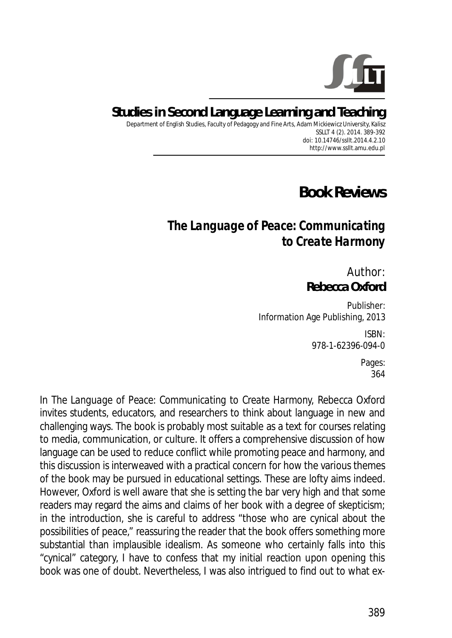

## **Studies in Second Language Learning and Teaching**

Department of English Studies, Faculty of Pedagogy and Fine Arts, Adam Mickiewicz University, Kalisz SSLLT 4 (2). 2014. 389-392 *doi: 10.14746/ssllt.2014.4.2.10* http://www.ssllt.amu.edu.pl

## **Book Reviews**

## *The Language of Peace: Communicating to Create Harmony*

Author: **Rebecca Oxford** 

Publisher: Information Age Publishing, 2013

> ISBN: 978-1-62396-094-0

> > Pages: 364

In *The Language of Peace: Communicating to Create Harmony,* Rebecca Oxford invites students, educators, and researchers to think about language in new and challenging ways. The book is probably most suitable as a text for courses relating to media, communication, or culture. It offers a comprehensive discussion of how language can be used to reduce conflict while promoting peace and harmony, and this discussion is interweaved with a practical concern for how the various themes of the book may be pursued in educational settings. These are lofty aims indeed. However, Oxford is well aware that she is setting the bar very high and that some readers may regard the aims and claims of her book with a degree of skepticism; in the introduction, she is careful to address "those who are cynical about the possibilities of peace," reassuring the reader that the book offers something more substantial than implausible idealism. As someone who certainly falls into this "cynical" category, I have to confess that my initial reaction upon opening this book was one of doubt. Nevertheless, I was also intrigued to find out to what ex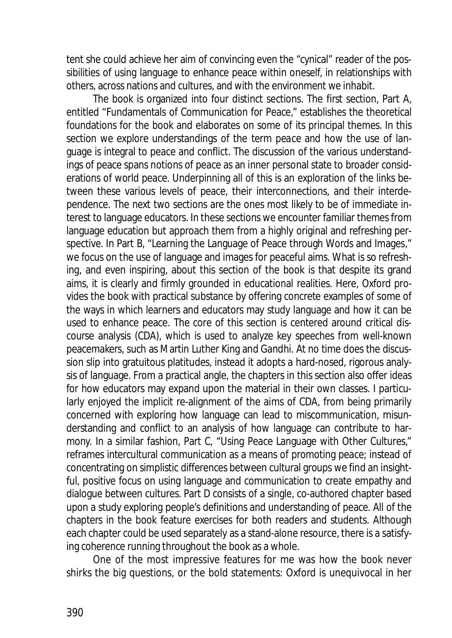tent she could achieve her aim of convincing even the "cynical" reader of the possibilities of using language to enhance peace within oneself, in relationships with others, across nations and cultures, and with the environment we inhabit.

The book is organized into four distinct sections. The first section, Part A, entitled "Fundamentals of Communication for Peace," establishes the theoretical foundations for the book and elaborates on some of its principal themes. In this section we explore understandings of the term *peace* and how the use of language is integral to peace and conflict. The discussion of the various understandings of peace spans notions of peace as an inner personal state to broader considerations of world peace. Underpinning all of this is an exploration of the links between these various levels of peace, their interconnections, and their interdependence. The next two sections are the ones most likely to be of immediate interest to language educators. In these sections we encounter familiar themes from language education but approach them from a highly original and refreshing perspective. In Part B, "Learning the Language of Peace through Words and Images*,*" we focus on the use of language and images for peaceful aims. What is so refreshing, and even inspiring, about this section of the book is that despite its grand aims, it is clearly and firmly grounded in educational realities. Here, Oxford provides the book with practical substance by offering concrete examples of some of the ways in which learners and educators may study language and how it can be used to enhance peace. The core of this section is centered around critical discourse analysis (CDA), which is used to analyze key speeches from well-known peacemakers, such as Martin Luther King and Gandhi. At no time does the discussion slip into gratuitous platitudes, instead it adopts a hard-nosed, rigorous analysis of language. From a practical angle, the chapters in this section also offer ideas for how educators may expand upon the material in their own classes. I particularly enjoyed the implicit re-alignment of the aims of CDA, from being primarily concerned with exploring how language can lead to miscommunication, misunderstanding and conflict to an analysis of how language can contribute to harmony. In a similar fashion, Part C, "Using Peace Language with Other Cultures," reframes intercultural communication as a means of promoting peace; instead of concentrating on simplistic differences between cultural groups we find an insightful, positive focus on using language and communication to create empathy and dialogue between cultures. Part D consists of a single, co-authored chapter based upon a study exploring people's definitions and understanding of peace. All of the chapters in the book feature exercises for both readers and students. Although each chapter could be used separately as a stand-alone resource, there is a satisfying coherence running throughout the book as a whole.

One of the most impressive features for me was how the book never shirks the big questions, or the bold statements: Oxford is unequivocal in her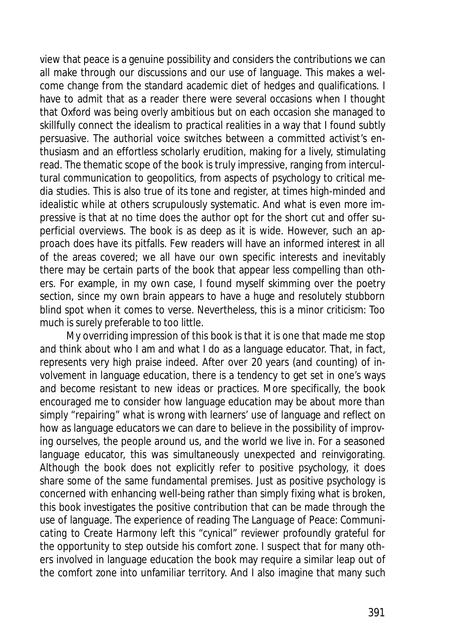view that peace is a genuine possibility and considers the contributions we can all make through our discussions and our use of language. This makes a welcome change from the standard academic diet of hedges and qualifications. I have to admit that as a reader there were several occasions when I thought that Oxford was being overly ambitious but on each occasion she managed to skillfully connect the idealism to practical realities in a way that I found subtly persuasive. The authorial voice switches between a committed activist's enthusiasm and an effortless scholarly erudition, making for a lively, stimulating read. The thematic scope of the book is truly impressive, ranging from intercultural communication to geopolitics, from aspects of psychology to critical media studies. This is also true of its tone and register, at times high-minded and idealistic while at others scrupulously systematic. And what is even more impressive is that at no time does the author opt for the short cut and offer superficial overviews. The book is as deep as it is wide. However, such an approach does have its pitfalls. Few readers will have an informed interest in all of the areas covered; we all have our own specific interests and inevitably there may be certain parts of the book that appear less compelling than others. For example, in my own case, I found myself skimming over the poetry section, since my own brain appears to have a huge and resolutely stubborn blind spot when it comes to verse. Nevertheless, this is a minor criticism: Too much is surely preferable to too little.

My overriding impression of this book is that it is one that made me stop and think about who I am and what I do as a language educator. That, in fact, represents very high praise indeed. After over 20 years (and counting) of involvement in language education, there is a tendency to get set in one's ways and become resistant to new ideas or practices. More specifically, the book encouraged me to consider how language education may be about more than simply "repairing" what is wrong with learners' use of language and reflect on how as language educators we can dare to believe in the possibility of improving ourselves, the people around us, and the world we live in. For a seasoned language educator, this was simultaneously unexpected and reinvigorating. Although the book does not explicitly refer to positive psychology, it does share some of the same fundamental premises. Just as positive psychology is concerned with enhancing well-being rather than simply fixing what is broken, this book investigates the positive contribution that can be made through the use of language. The experience of reading *The Language of Peace: Communicating to Create Harmony* left this "cynical" reviewer profoundly grateful for the opportunity to step outside his comfort zone. I suspect that for many others involved in language education the book may require a similar leap out of the comfort zone into unfamiliar territory. And I also imagine that many such